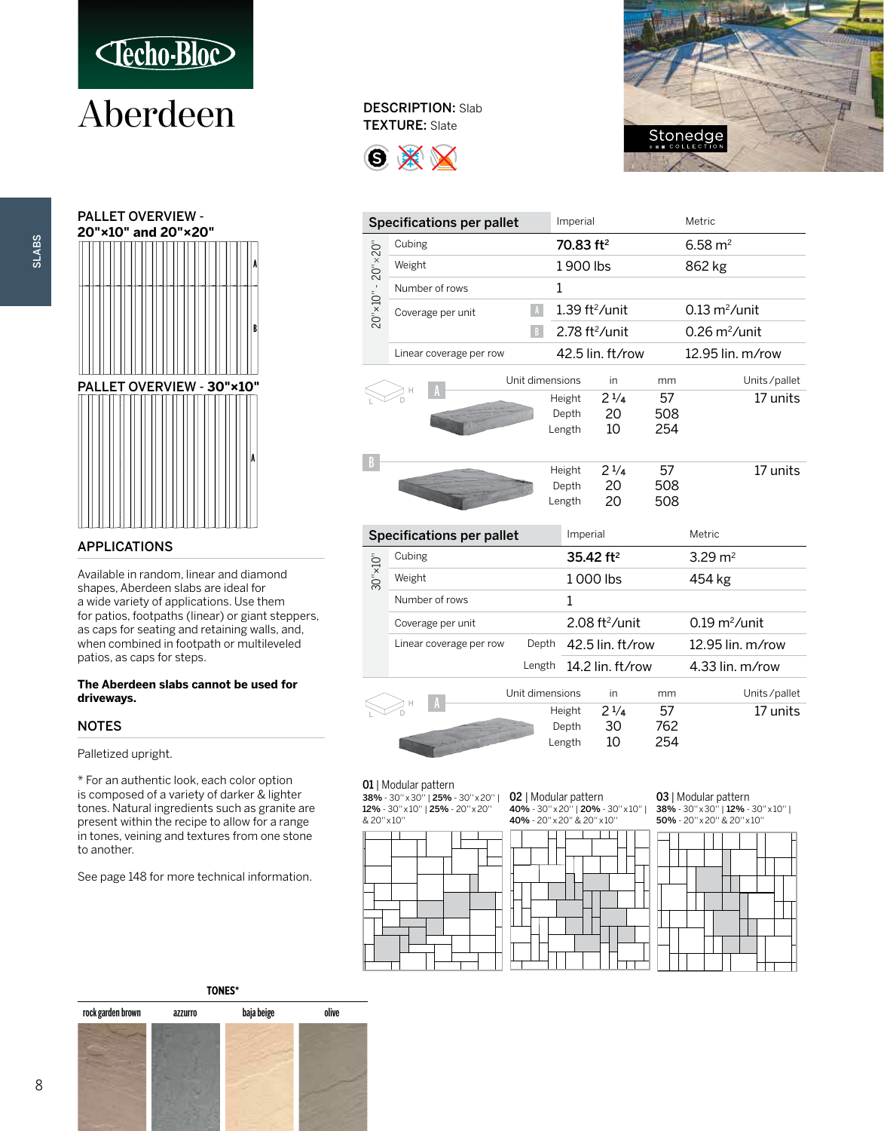

### Aberdeen DESCRIPTION: Slab



### APPLICATIONS

Available in random, linear and diamond shapes, Aberdeen slabs are ideal for a wide variety of applications. Use them for patios, footpaths (linear) or giant steppers, as caps for seating and retaining walls, and, when combined in footpath or multileveled patios, as caps for steps.

#### **The Aberdeen slabs cannot be used for driveways.**

### NOTES

Palletized upright.

\* For an authentic look, each color option is composed of a variety of darker & lighter tones. Natural ingredients such as granite are present within the recipe to allow for a range in tones, veining and textures from one stone to another.

See page 148 for more technical information.

### TEXTURE: Slate





| <b>Specifications per pallet</b>  |                                  |                 | Imperial                     |                       |     | Metric                         |              |
|-----------------------------------|----------------------------------|-----------------|------------------------------|-----------------------|-----|--------------------------------|--------------|
|                                   | Cubing                           |                 | 70.83 ft <sup>2</sup>        |                       |     | $6.58 \text{ m}^2$             |              |
|                                   | Weight                           |                 |                              | 1900 lbs              |     | 862 kg                         |              |
|                                   | Number of rows                   |                 | 1                            |                       |     |                                |              |
| $20" \times 10" - 20" \times 20"$ | $\Lambda$<br>Coverage per unit   |                 | $1.39$ ft <sup>2</sup> /unit |                       |     | $0.13 \text{ m}^2$ /unit       |              |
|                                   |                                  | B               | $2.78$ ft <sup>2</sup> /unit |                       |     | $0.26 \text{ m}^2/\text{unit}$ |              |
|                                   | Linear coverage per row          |                 |                              | 42.5 lin. ft/row      |     | 12.95 lin. m/row               |              |
|                                   |                                  | Unit dimensions |                              | in                    | mm  |                                | Units/pallet |
|                                   |                                  |                 | Height                       | $2^{1/4}$             | 57  |                                | 17 units     |
|                                   |                                  |                 | Depth                        | 20                    | 508 |                                |              |
|                                   |                                  |                 | Length                       | 10                    | 254 |                                |              |
|                                   |                                  |                 |                              |                       |     |                                |              |
| R                                 |                                  |                 |                              |                       |     |                                | 17 units     |
|                                   |                                  |                 | Height                       | $2^{1/4}$             | 57  |                                |              |
|                                   |                                  |                 | Depth                        | 20<br>20              | 508 |                                |              |
|                                   |                                  |                 | Length                       |                       | 508 |                                |              |
|                                   | <b>Specifications per pallet</b> |                 | Imperial                     |                       |     | Metric                         |              |
|                                   | Cubing                           |                 |                              | 35.42 ft <sup>2</sup> |     | 3.29 $m2$                      |              |
| $30" \times 10"$                  | Weight                           |                 | 1000 lbs                     |                       |     | 454 kg                         |              |
|                                   | Number of rows                   |                 | 1                            |                       |     |                                |              |
|                                   | Coverage per unit                |                 | 2.08 ft <sup>2</sup> /unit   |                       |     | $0.19 \text{ m}^2$ /unit       |              |
|                                   | Linear coverage per row          | Depth           |                              | 42.5 lin. ft/row      |     | 12.95 lin. m/row               |              |
|                                   |                                  | Length          |                              | 14.2 lin. ft/row      |     | 4.33 lin. $m$ /row             |              |
|                                   |                                  | Unit dimensions |                              | in.                   | mm  |                                | Units/pallet |
|                                   |                                  |                 | Height                       | $2^{1/4}$             | 57  |                                | 17 units     |
|                                   |                                  |                 | Depth                        | 30                    | 762 |                                |              |
|                                   |                                  |                 | Length                       | 10                    | 254 |                                |              |

### 01 | Modular pattern

38% - 30" x 30" | 25% - 30" x 20" | 02 | Modular pattern 12% - 30'' x 10'' | 25% - 20'' x 20'' 40% - 30'' x 20'' | 20% - 30'' x 10'' |



03 | Modular pattern 38% - 30'' x 30'' | 12% - 30'' x 10'' | 50% - 20'' x 20'' & 20'' x 10''